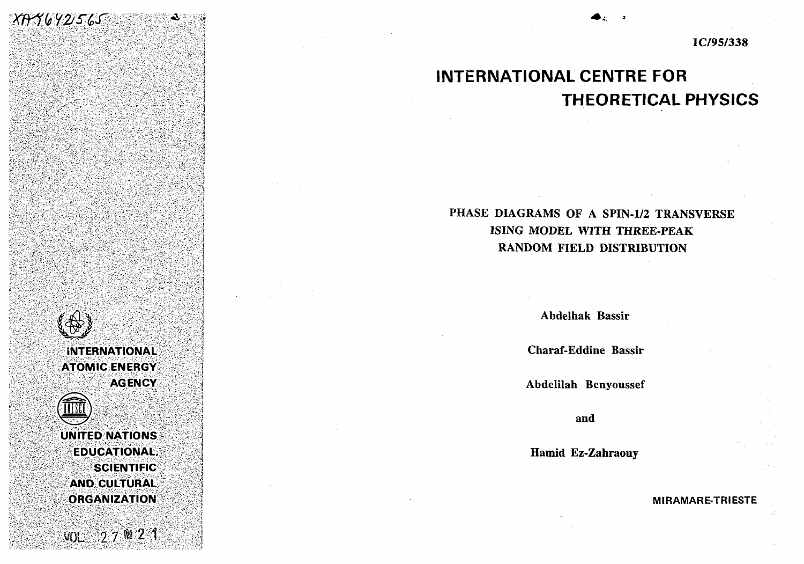# **INTERNATIONAL CENTRE FOR THEORETICAL PHYSICS**

# PHASE DIAGRAMS OF A SPIN-1/2 TRANSVERSE ISING MODEL WITH THREE-PEAK RANDOM FIELD DISTRIBUTION

Abdelhak Bassir

Charaf-Eddine Bassir

**INTERNATIONAL ATOMIC ENERGY**

 $XAYY6Y2565$ 

**UNITED NATIONS EDUCATIONAL, SCIENTIFIC**

**AND CULTURAL ORGANIZATION**

**VOL** 27 <sup>®</sup> 2 1

**AGENCY**

Abdelilah Benyoussef

and

Hamid Ez-Zahraouy

MIRAMARE-TRIESTE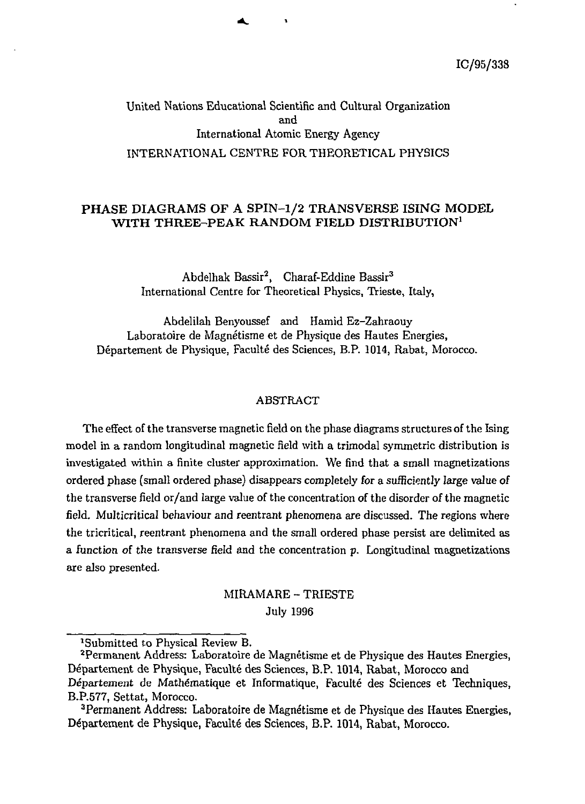## United Nations Educational Scientific and Cultural Organization and International Atomic Energy Agency INTERNATIONAL CENTRE FOR THEORETICAL PHYSICS

### **PHASE DIAGRAMS OF A SPIN-1/2 TRANSVERSE ISING MODEL WITH THREE-PEAK RANDOM FIELD DISTRIBUTION<sup>1</sup>**

Abdelhak Bassir<sup>2</sup>, Charaf-Eddine Bassir<sup>3</sup> International Centre for Theoretical Physics, Trieste, Italy,

Abdelilah Benyoussef and Hamid Ez-Zahraouy Laboratoire de Magnétisme et de Physique des Hautes Energies, Departement de Physique, Faculte des Sciences, B.P. 1014, Rabat, Morocco.

#### ABSTRACT

The effect of the transverse magnetic field on the phase diagrams structures of the Ising model in a random longitudinal magnetic field with a trimodal symmetric distribution is investigated within a finite cluster approximation. We find that a small magnetizations ordered phase (small ordered phase) disappears completely for a sufficiently large value of the transverse field or/and large value of the concentration of the disorder of the magnetic field. Multicritical behaviour and reentrant phenomena are discussed. The regions where the tricritical, reentrant phenomena and the small ordered phase persist are delimited as a function of the transverse field and the concentration  $p$ . Longitudinal magnetizations are also presented.

> MIRAMARE - TRIESTE July 1996

<sup>&#</sup>x27;Submitted to Physical Review B.

<sup>&</sup>lt;sup>2</sup>Permanent Address: Laboratoire de Magnétisme et de Physique des Hautes Energies, Departement de Physique, Faculte des Sciences, B.P. 1014, Rabat, Morocco and Département de Mathématique et Informatique, Faculté des Sciences et Techniques, B.P.577, Settat, Morocco.

<sup>&</sup>lt;sup>3</sup>Permanent Address: Laboratoire de Magnétisme et de Physique des Hautes Energies, Departement de Physique, Faculte des Sciences, B.P. 1014, Rabat, Morocco.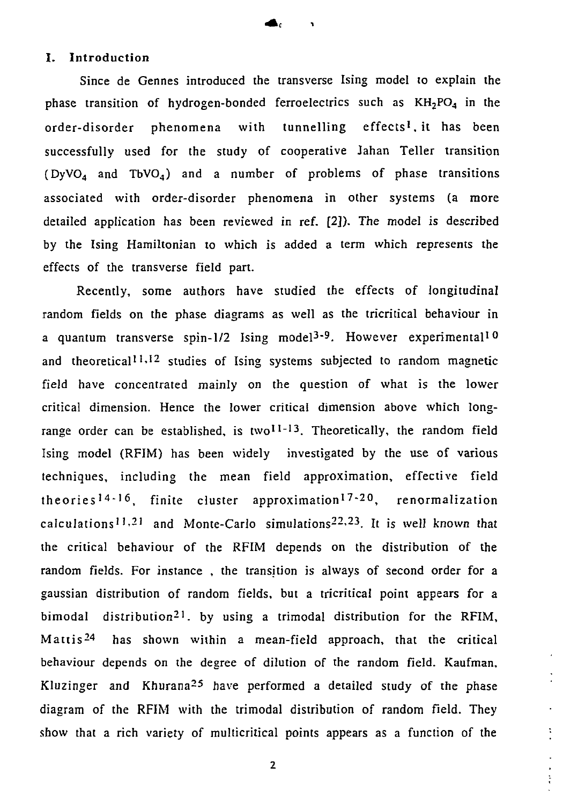#### I. Introduction

Since de Gennes introduced the transverse Ising model to explain the phase transition of hydrogen-bonded ferroelectrics such as  $KH_2PO_4$  in the order-disorder phenomena with tunnelling effects', it has been successfully used for the study of cooperative Jahan Teller transition (DyVO4 and TbVO4) and a number of problems of phase transitions associated with order-disorder phenomena in other systems (a more detailed application has been reviewed in ref. [2]). The model is described by the Ising Hamiltonian to which is added a term which represents the effects of the transverse field part.

Recently, some authors have studied the effects of longitudinal random fields on the phase diagrams as well as the tricritical behaviour in a quantum transverse spin-1/2 Ising model<sup>3-9</sup>. However experimental<sup>10</sup> and theoretical<sup>11,12</sup> studies of Ising systems subjected to random magnetic field have concentrated mainly on the question of what is the lower critical dimension. Hence the lower critical dimension above which longrange order can be established, is two<sup>11-13</sup>. Theoretically, the random field Ising model (RFIM) has been widely investigated by the use of various techniques, including the mean field approximation, effective field theories<sup>14-16</sup>, finite cluster approximation<sup>17-20</sup>, renormalization calculations<sup>11,21</sup> and Monte-Carlo simulations<sup>22,23</sup>. It is well known that the critical behaviour of the RFIM depends on the distribution of the random fields. For instance , the transition is always of second order for a gaussian distribution of random fields, but a tricritical point appears for a bimodal distribution<sup>21</sup>. by using a trimodal distribution for the RFIM,  $M$ attis  $24$  has shown within a mean-field approach, that the critical behaviour depends on the degree of dilution of the random field. Kaufman, Kluzinger and Khurana<sup>25</sup> have performed a detailed study of the phase diagram of the RFIM with the trimodal distribution of random field. They show that a rich variety of multicritical points appears as a function of the

 $\overline{2}$ 

ĵ,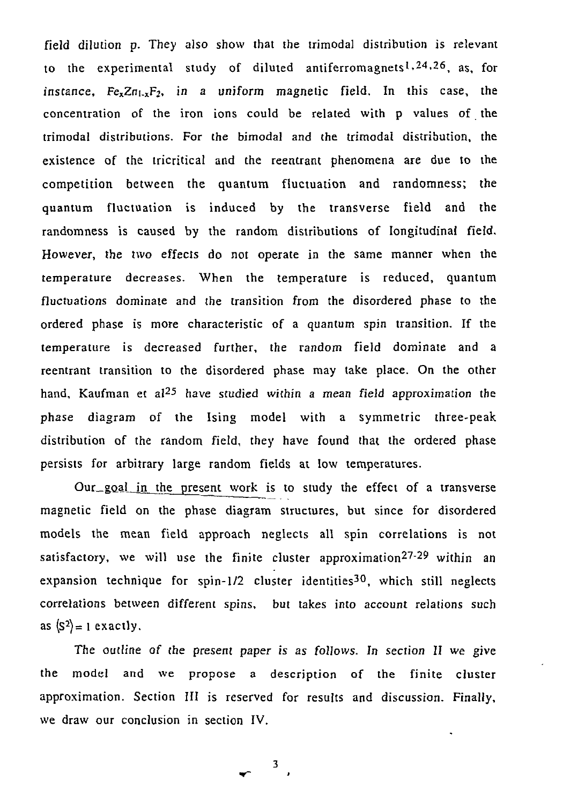field dilution p. They also show that the trimodal distribution is relevant to the experimental study of diluted antiferromagnets<sup>1,24,26</sup>, as, for instance,  $Fe<sub>x</sub>Zn<sub>1,x</sub>F<sub>2</sub>$ , in a uniform magnetic field. In this case, the concentration of the iron ions could be related with p values of the trimodal distributions. For the bimodal and the trimodai distribution, the existence of the tricritical and the reentrant phenomena are due to the competition between the quantum fluctuation and randomness; the quantum fluctuation is induced by the transverse field and the randomness is caused by the random distributions of longitudinal field. However, the two effects do not operate in the same manner when the temperature decreases. When the temperature is reduced, quantum fluctuations dominate and the transition from the disordered phase to the ordered phase is more characteristic of a quantum spin transition. If the temperature is decreased further, the random field dominate and a reentrant transition to the disordered phase may take place. On the other hand, Kaufman et al<sup>25</sup> have studied within a mean field approximation the phase diagram of the Ising model with a symmetric three-peak distribution of the random field, they have found that the ordered phase persists for arbitrary large random fields at low temperatures.

Our goal in the present work is to study the effect of a transverse magnetic field on the phase diagram structures, but since for disordered models the mean field approach neglects all spin correlations is not satisfactory, we will use the finite cluster approximation<sup>27-29</sup> within an expansion technique for spin-1/2 cluster identities<sup>30</sup>, which still neglects correlations between different spins, but takes into account relations such as  $\langle S^2 \rangle = 1$  exactly.

The outline of the present paper *is as follows.* In section II we give the model and we propose a description of the finite cluster approximation. Section III is reserved for results and discussion. Finally, we draw our conclusion in section IV.

 $\frac{3}{4}$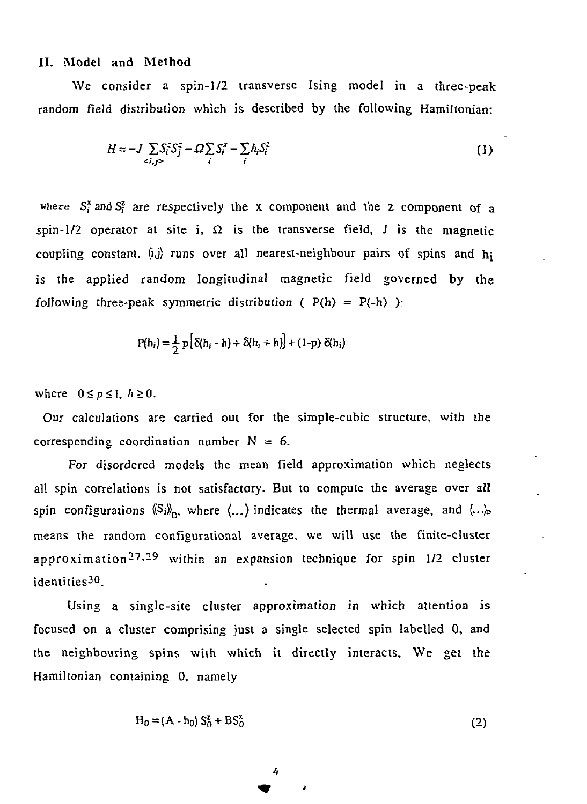#### II. Model and Method

We consider a spin-1/2 transverse Ising model in a three-peak random field distribution which is described by the following Hamiltonian:

$$
H = -J\sum_{i,j>} S_i^z S_j^z - \Omega \sum_i S_i^x - \sum_i h_i S_i^z \tag{1}
$$

where  $S_i^x$  and  $S_i^z$  are respectively the x component and the z component of a  $\sin^{-1/2}$  operator at site i,  $\Omega$  is the transverse field, J is the magnetic coupling constant.  $(i,j)$  runs over all nearest-neighbour pairs of spins and hi is the applied random longitudinal magnetic field governed by the following three-peak symmetric distribution ( $P(h) = P(-h)$ );

$$
P(h_i) = \frac{1}{2} p \left[ \delta(h_i - h) + \delta(h_i + h) \right] + (1-p) \delta(h_i)
$$

where  $0 \le p \le l$ ,  $h \ge 0$ .

Our calculations are carried out for the simple-cubic structure, with the corresponding coordination number  $N = 6$ .

For disordered models the mean field approximation which neglects all spin correlations is not satisfactory. But to compute the average over all spin configurations  $(S_i)_{D_i}$ , where  $(...)$  indicates the thermal average, and  $(.,)_D$ means the random configurational average, we will use the finite-cluster approximation<sup>27,29</sup> within an expansion technique for spin  $1/2$  cluster identities<sup>30</sup> .

Using a single-site cluster approximation in which attention is focused on a cluster comprising just a single selected spin labelled 0, and the neighbouring spins wiih which it directly interacts, We get the Hamiltonian containing 0, namely

$$
H_0 = (A - h_0) S_0^2 + BS_0^x
$$
 (2)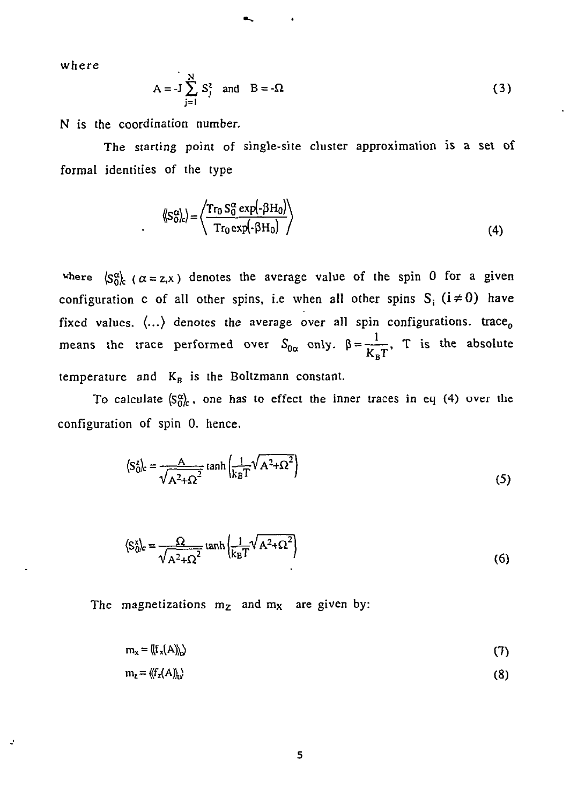where

¢,

$$
A = -J\sum_{j=1}^{N} S_j^z \text{ and } B = -\Omega
$$
 (3)

N is the coordination number.

The starting point of single-site cluster approximation is a set of formal identities of the type

$$
\langle \langle S_0^{\alpha} \rangle \rangle = \langle \frac{\text{Tr}_0 S_0^{\alpha} \exp(-\beta H_0)}{\text{Tr}_0 \exp(-\beta H_0)} \rangle \tag{4}
$$

where  $\langle S_{0}^{\alpha} \rangle$  ( $\alpha = z, x$ ) denotes the average value of the spin 0 for a given configuration c of all other spins, i.e when all other spins  $S_i$  ( $i \neq 0$ ) have fixed values.  $\langle \ldots \rangle$  denotes the average over all spin configurations. trace<sub>0</sub> means the trace performed over  $S_{0\alpha}$  only.  $\beta = \frac{1}{15 \pi^2}$ , T is the absolute  $\mathbf{r}_{\mathbf{B}}$ temperature and  $K_B$  is the Boltzmann constant.

To calculate  $\langle S_{0/c}^{\alpha} \rangle$ , one has to effect the inner traces in eq (4) over the configuration of spin 0. hence,

$$
\langle S_0^2 \rangle_c = \frac{A}{\sqrt{A^2 + \Omega^2}} \tanh \left( \frac{1}{k_B T} \sqrt{A^2 + \Omega^2} \right)
$$
 (5)

$$
\langle S_0^x \rangle_c = \frac{\Omega}{\sqrt{A^2 + \Omega^2}} \tanh \left( \frac{1}{k_B T} \sqrt{A^2 + \Omega^2} \right)
$$
 (6)

The magnetizations  $m_Z$  and  $m_X$  are given by:

$$
m_x = \langle f_x(A) \rangle \tag{7}
$$

 $m_r = \langle f_r(A) \rangle$ (8)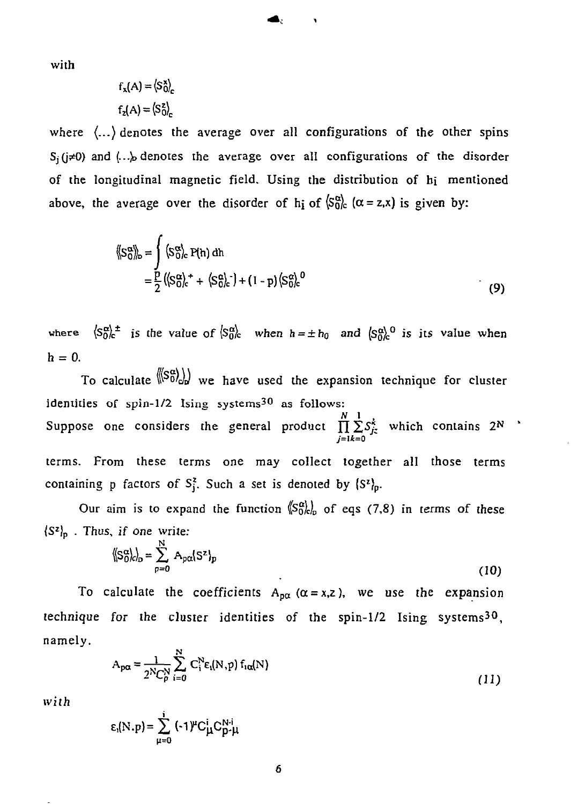with

$$
f_x(A) = \langle S_0^x \rangle_c
$$
  

$$
f_x(A) = \langle S_0^z \rangle_c
$$

where  $\langle \dots \rangle$  denotes the average over all configurations of the other spins  $S_i$ ( $\neq 0$ ) and (...) denotes the average over all configurations of the disorder of the longitudinal magnetic field. Using the distribution of hi mentioned above, the average over the disorder of h<sub>i</sub> of  $\langle S_{0}^{\alpha} \rangle$  ( $\alpha$  = z,x) is given by:

$$
\langle \langle S_0^{\alpha} \rangle \rangle_o = \int \langle S_0^{\alpha} \rangle_c P(h) \, dh
$$
  
=  $\frac{p}{2} (\langle S_0^{\alpha} \rangle_c^+ + \langle S_0^{\alpha} \rangle_c^+ + (1 - p) \langle S_0^{\alpha} \rangle_c^0)$  (9)

where  $\langle S_0^{\alpha} \rangle^{\pm}$  is the value of  $\langle S_0^{\alpha} \rangle_c$  when  $h = \pm h_0$  and  $\langle S_0^{\alpha} \rangle_c^0$  is its value when  $h = 0$ .

To calculate  $\langle 56 \rangle$ ) we have used the expansion technique for cluster identities of spin-1/2 Ising systems<sup>30</sup> as follows: Suppose one considers the general product  $\prod_{i=1}^{N} \sum_{i=1}^{n}$  which contains 2<sup>N</sup> terms. From these terms one may collect together all those terms containing p factors of  $S_j^2$ . Such a set is denoted by  ${S^2}_0$ .

Our aim is to expand the function  $\langle S_{0}^{a} \rangle_{cb}$  of eqs (7,8) in terms of these  $\langle S^z \rangle_p$ . Thus, if one write:

$$
\langle \langle S_0^{\alpha} \rangle_c \rangle_p = \sum_{p=0}^{N} A_{p\alpha} \langle S^z \rangle_p
$$
 (10)

To calculate the coefficients  $A_{p\alpha}$  ( $\alpha = x,z$ ), we use the expansion technique for the cluster identities of the spin- $1/2$  Ising systems<sup>30</sup>, namely.

$$
A_{p\alpha} = \frac{1}{2^N C_p^N} \sum_{i=0}^N C_i^N \epsilon_i(N, p) f_{i\alpha}(N)
$$
 (11)

*with*

$$
\epsilon_i(N,p) = \sum_{\mu=0}^i \; (-1)^{\mu} C^i_{\mu} C^{N-i}_{p-\mu}
$$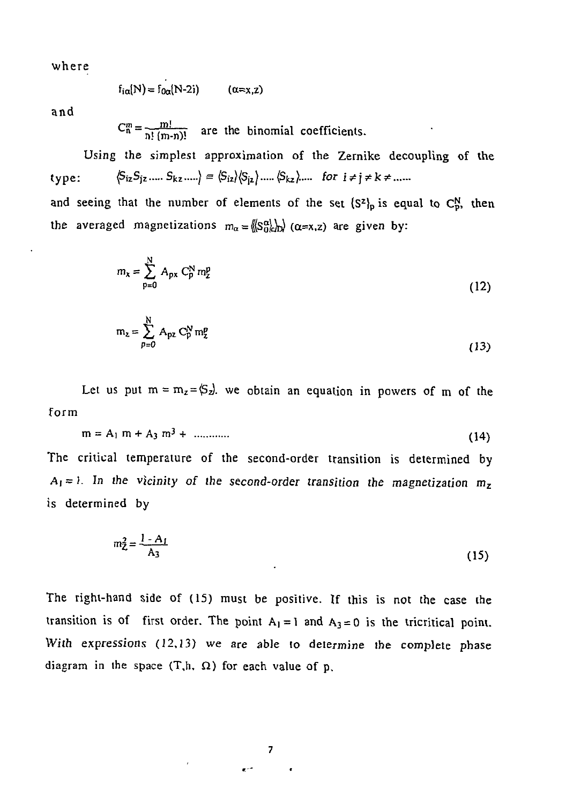where

$$
f_{i\alpha}(N)=f_{0\alpha}(N-2i)\qquad \quad (\alpha=x,z)
$$

and

 $C_n^m = \frac{C_{n-1}}{n! (m-n)!}$  are the binomial coefficients.

Using the simplest approximation of the Zernike decoupling of the type:  $\langle S_{iz}S_{jz} \dots S_{kz} \dots \rangle = \langle S_{iz} \rangle \langle S_{iz} \rangle \dots \langle S_{kz} \rangle \dots$  for  $i \neq j \neq k \neq \dots$ 

and seeing that the number of elements of the set  $(S^2)_p$  is equal to  $C_p^N$ , then the averaged magnetizations  $m_\alpha = \sqrt{\langle S_\alpha^{\alpha} \rangle}$  ( $\alpha=x,z$ ) are given by:

$$
m_x = \sum_{p=0}^{N} A_{px} C_p^N m_z^p
$$
 (12)

$$
m_z = \sum_{p=0}^{N} A_{pz} C_p^N m_z^p
$$
 (13)

Let us put  $m = m_z = \frac{\mathcal{S}_z}{2}$ , we obtain an equation in powers of m of the form

$$
m = A_1 m + A_3 m^3 + \dots \tag{14}
$$

The critical temperature of the second-order transition is determined by  $A_1 = 1$ . In the vicinity of the second-order transition the magnetization  $m_z$ is determined by

$$
m_Z^2 = \frac{1 - A_1}{A_3}
$$
 (15)

The right-hand side of (15) must be positive. If this is not the case the transition is of first order. The point  $A_1 = 1$  and  $A_3 = 0$  is the tricritical point. With expressions (12,13) we are able to determine ihe complete phase diagram in the space  $(T,h, \Omega)$  for each value of p.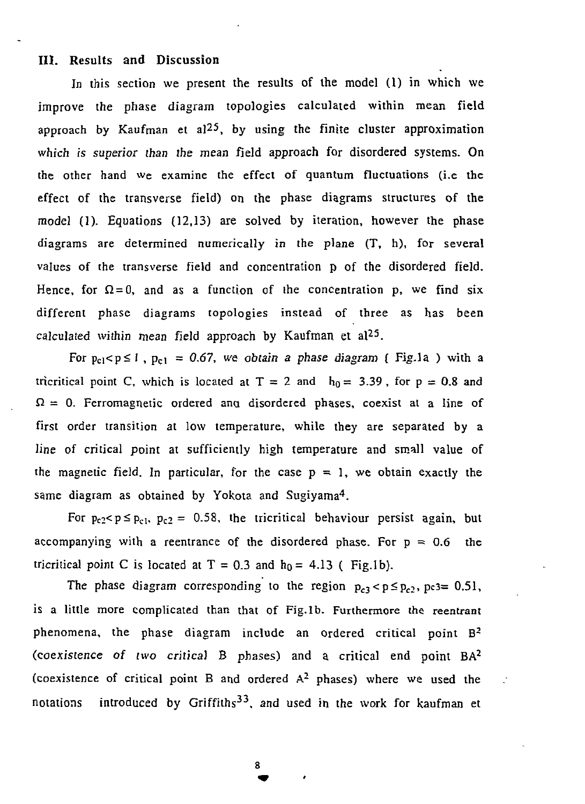#### III. Results and Discussion

In this section we present the results of the model (1) in which we improve the phase diagram topologies calculated within mean field approach by Kaufman et al<sup>25</sup>, by using the finite cluster approximation which *is superior than* the mean field approach for disordered systems. On the other hand we examine the effect of quantum fluctuations (i.e the effect of the transverse field) on the phase diagrams structures of the model (1). Equations (12,13) are solved by iteration, however the phase diagrams are determined numerically in the plane (T, h), for several values of the transverse field and concentration p of the disordered field. Hence, for  $\Omega = 0$ , and as a function of the concentration p, we find six different phase diagrams topologies instead of three as has been calculated within mean field approach by Kaufman et  $a^{25}$ .

For  $p_{c1} < p \le 1$ ,  $p_{c1} = 0.67$ , we obtain a phase diagram ( Fig.1a ) with a tricritical point C, which is located at  $T = 2$  and  $h_0 = 3.39$ , for  $p = 0.8$  and  $\Omega = 0$ . Ferromagnetic ordered ang disordered phases, coexist at a line of first order transition at low temperature, while they are separated by a line of critical point at sufficiently high temperature and small value of the magnetic field. In particular, for the case  $p = 1$ , we obtain exactly the same diagram as obtained by Yokota and Sugiyama<sup>4</sup>.

For  $p_{c2} < p \leq p_{c1}$ ,  $p_{c2} = 0.58$ , the tricritical behaviour persist again, but accompanying with a reentrance of the disordered phase. For  $p = 0.6$  the tricritical point C is located at  $T = 0.3$  and  $h_0 = 4.13$  (Fig.1b).

The phase diagram corresponding to the region  $p_{c3} < p \le p_{c2}$ ,  $p_{c3} = 0.51$ , is a little more complicated than that of Fig.lb. Furthermore the reentrant phenomena, the phase diagram include an ordered critical point  $B<sup>2</sup>$ (coexistence of *two* critical B phases) and a critical end point BA<sup>2</sup> (coexistence of critical point B and ordered  $A<sup>2</sup>$  phases) where we used the notations introduced by Griffiths<sup>33</sup>, and used in the work for kaufman et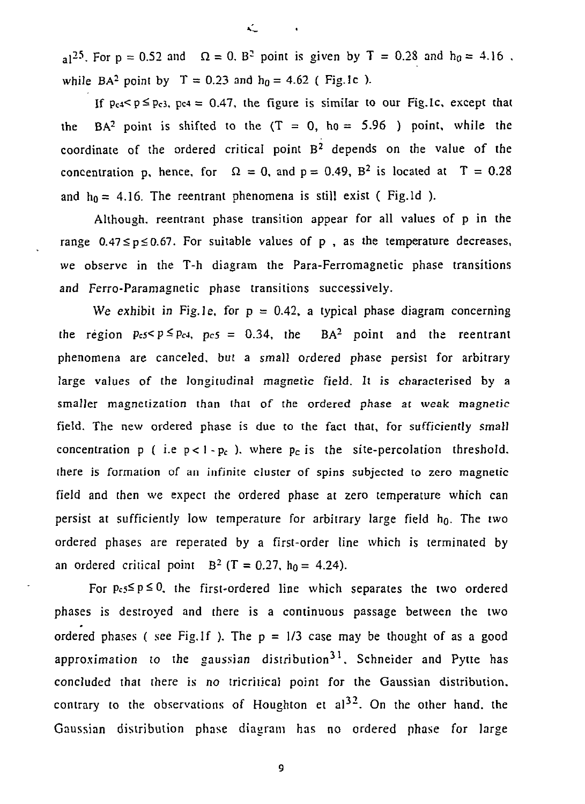$a_1^{25}$ . For p = 0.52 and  $\Omega = 0$ . B<sup>2</sup> point is given by T = 0.28 and  $h_0 = 4.16$ . while BA<sup>2</sup> point by  $T = 0.23$  and  $h_0 = 4.62$  (Fig.1c).

K.

If  $p_{c4} < p \le p_{c3}$ ,  $p_{c4} = 0.47$ , the figure is similar to our Fig.1c, except that the  $BA^2$  point is shifted to the  $(T = 0, ho = 5.96)$  point, while the coordinate of the ordered critical point  $B^2$  depends on the value of the concentration p, hence, for  $\Omega = 0$ , and  $p = 0.49$ ,  $B^2$  is located at  $T = 0.28$ and  $h_0 = 4.16$ . The reentrant phenomena is still exist (Fig.1d).

Although, reentrant phase transition appear for all values of p in the range 0.47 $\leq p \leq 0.67$ . For suitable values of p, as the temperature decreases, we observe in the T-h diagram the Para-Ferromagnetic phase transitions and Ferro-Paramagnetic phase transitions successively.

We exhibit in Fig. 1e, for  $p = 0.42$ , a typical phase diagram concerning the region  $p_{c5} < p \le p_{c4}$ ,  $p_{c5} = 0.34$ , the BA<sup>2</sup> point and the reentrant phenomena are canceled, but a small ordered phase persist for arbitrary large values of the longitudinal magnetic field. It is characterised by a smaller magnetization than that of the ordered phase at weak magnetic field. The new ordered phase is due to the fact that, for sufficiently small concentration p ( i.e  $p < 1 - p_c$  ), where  $p_c$  is the site-percolation threshold, there is formation of an infinite cluster of spins subjected to zero magnetic field and then we expect the ordered phase at zero temperature which can persist at sufficiently low temperature for arbitrary large field  $h_0$ . The two ordered phases are reperated by a first-order line which is terminated by an ordered critical point  $B^2$  (T = 0.27,  $h_0 = 4.24$ ).

For  $p_c 5 \le p \le 0$ , the first-ordered line which separates the two ordered phases is destroyed and there is a continuous passage between the two ordered phases ( see Fig.1f ). The  $p = 1/3$  case may be thought of as a good approximation to the gaussian distribution<sup>31</sup>. Schneider and Pytte has concluded that there is no tricritical point for the Gaussian distribution, contrary to the observations of Houghton et  $a^{32}$ . On the other hand, the Gaussian distribution phase diagram has no ordered phase for large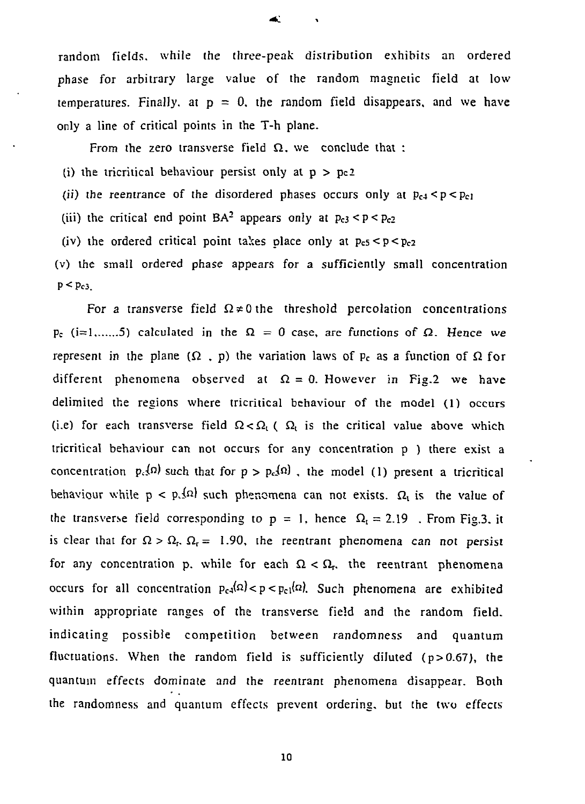random fields, while the three-peak distribution exhibits an ordered phase for arbitrary large value of the random magnetic field at low temperatures. Finally, at  $p = 0$ , the random field disappears, and we have only a line of critical points in the T-h plane.

From the zero transverse field  $\Omega$ , we conclude that :

(i) the tricritical behaviour persist only at  $p > p_0$ ?

(ii) the reentrance of the disordered phases occurs only at  $p_{c4} < p < p_{c1}$ 

(iii) the critical end point  $BA^2$  appears only at  $p_{c3} < p < p_{c2}$ 

(iv) the ordered critical point takes place only at  $p_{c5}$  <  $p < p_{c2}$ 

(v) the small ordered phase appears for a sufficiently small concentration  $p < p_{c3}$ .

For a transverse field  $\Omega \neq 0$  the threshold percolation concentrations  $p_c$  (i=1,.......5) calculated in the  $\Omega = 0$  case, are functions of  $\Omega$ . Hence we represent in the plane  $(\Omega, \mathfrak{p})$  the variation laws of  $p_c$  as a function of  $\Omega$  for different phenomena observed at  $\Omega = 0$ . However in Fig.2 we have delimited the regions where tricritical behaviour of the model (1) occurs (i.e) for each transverse field  $\Omega < \Omega$ <sub>t</sub> ( $\Omega$ <sub>i</sub> is the critical value above which tricritical behaviour can not occurs for any concentration p ) there exist a concentration  $p_s(\Omega)$  such that for  $p > p_s(\Omega)$ , the model (1) present a tricritical behaviour while  $p \leq p \cdot \Omega$  such phenomena can not exists.  $\Omega_i$  is the value of the transverse field corresponding to  $p = 1$ , hence  $\Omega_t = 2.19$ . From Fig.3, it is clear that for  $\Omega > \Omega_r$ ,  $\Omega_r = 1.90$ , the reentrant phenomena can not persist for any concentration p. while for each  $\Omega < \Omega_r$ , the reentrant phenomena occurs for all concentration  $p_{c4}(\Omega) < p < p_{c1}(\Omega)$ . Such phenomena are exhibited within appropriate ranges of the transverse field and the random field, indicating possible competition between randomness and quantum fluctuations. When the random field is sufficiently diluted ( $p > 0.67$ ), the quantum effects dominate and the reentrant phenomena disappear. Both the randomness and quantum effects prevent ordering, but the two effects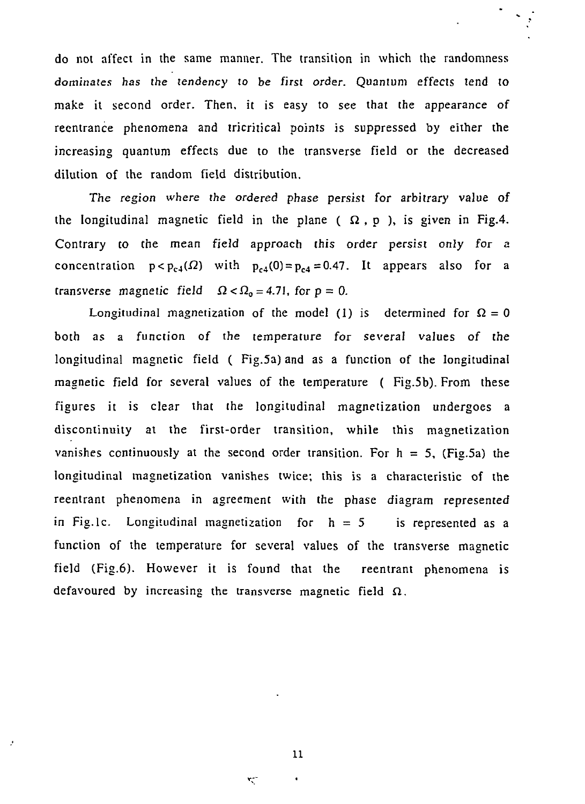do not affect in the same manner. The transition in which the randomness dominates has the tendency to be first order. Quantum effects tend to make it second order. Then, it is easy to see that the appearance of reentrance phenomena and tricritical points is suppressed by either the increasing quantum effects due to the transverse field or the decreased dilution of the random field distribution.

ý

The region where the ordered phase persist *for* arbitrary value of the longitudinal magnetic field in the plane ( $\Omega$ , p), is given in Fig.4. Contrary to the mean field approach this order persist only for a concentration  $p < p_{c4}(\Omega)$  with  $p_{c4}(0) = p_{c4} = 0.47$ . It appears also for a transverse magnetic field  $\Omega < \Omega$ <sub>0</sub> = 4.71, for p = 0.

Longitudinal magnetization of the model (1) is determined for  $\Omega = 0$ both as a function of the temperature for several values of the longitudinal magnetic field ( Fig.5a) and as a function of the longitudinal magnetic field for several values of the temperature ( Fig.5b). From these figures it is clear that the longitudinal magnetization undergoes a discontinuity at the first-order transition, while this magnetization vanishes continuously at the second order transition. For  $h = 5$ , (Fig.5a) the longitudinal magnetization vanishes twice; this is a characteristic of the reentrant phenomena in agreement with the phase diagram represented in Fig.1c. Longitudinal magnetization for  $h = 5$  is represented as a function of the temperature for several values of the transverse magnetic field (Fig.6). However it is found that the reentrant phenomena is defavoured by increasing the transverse magnetic field  $\Omega$ .

**11**

K.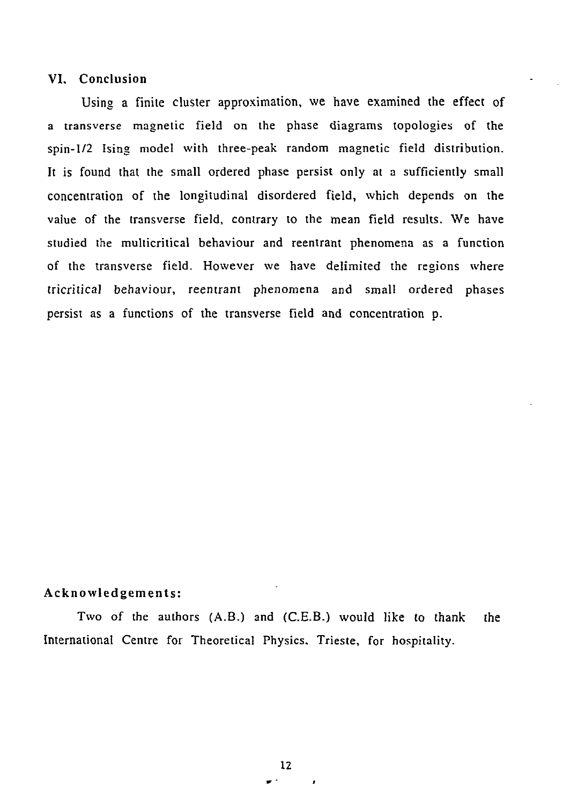#### VI. Conclusion

Using a finite cluster approximation, we have examined the effect of a transverse magnetic field on the phase diagrams topologies of the spin-1/2 Ising model with three-peak random magnetic field distribution. It is found that the small ordered phase persist only at a sufficiently small concentration of the longitudinal disordered field, which depends on the value of the transverse field, contrary to the mean field results. We have studied the multicritical behaviour and reentrant phenomena as a function of the transverse field. However we have delimited the regions where tricritical behaviour, reentrant phenomena and small ordered phases persist as a functions of the transverse field and concentration p.

#### Acknowledgements:

Two of the authors (A.B.) and (C.E.B.) would like to thank the International Centre for Theoretical Physics, Trieste, for hospitality.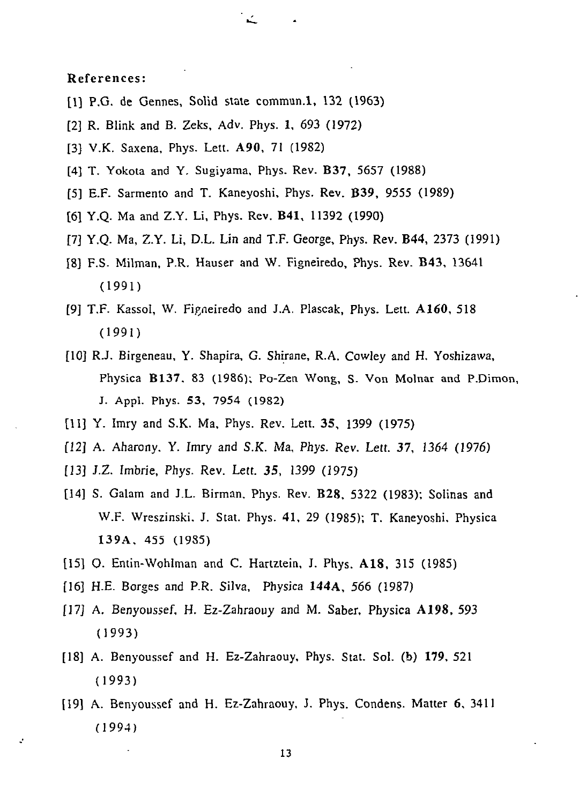#### **References:**

Ŀ,

- [I] P.G. de Gennes, Solid state commun.l, 132 (1963)
- [2] R. Blink and B. Zeks, Adv. Phys. 1, 693 (1972)
- [3] V.K. Saxena, Phys. Lett. **A90,** 71 (1982)
- [4] T. Yokota and Y. Sugiyama, Phys. Rev. **B37,** 5657 (1988)
- [5] E.F. Sarmento and T. Kaneyoshi, Phys. Rev. **B39,** 9555 (1989)
- [6] Y.Q. Ma and Z.Y. Li, Phys. Rev. **B41,** 11392 (1990)
- [7] Y.Q. Ma, Z.Y. Li, D.L. Lin and T.F. George, Phys. Rev. **B44,** 2373 (1991)
- [8] F.S. Milman, P.R. Hauser and W. Figneiredo, Phys. Rev. **B43,** 13641 (1991)
- [9] T.F. Kassol, W. Figneiredo and J.A. Plascak, Phys. Lett. **A160,** 518 (1991)
- [10] R.J. Birgeneau, Y. Shapira, G. Shirane, R.A. Cowley and H. Yoshizawa, Physica **B137.** 83 (1986); Po-Zen Wong, S- Von Molnar and P.Dimon, J. Appl. Phys. S3, 7954 (1982)
- [II] Y. Imry and S.K. Ma, Phys. Rev. Lett. 35, 1399 (1975)
- [12] A. Aharony. Y. *Imry* and *S.K.* Ma, Phys. Rev. Lett. **37,** 1364 (1976)
- [13] J.Z. Imbrie, Phys. Rev. Lett. *35,* 1399 (1975)
- [14] S. Galam and J.L. Birman. Phys. Rev. **B28,** 5322 (1983); Solinas and W.F. Wreszinski. J. Stat. Phys. 41, 29 (1985); T. Kaneyoshi. Physica 139A, 455 (1985)
- [15] O. Emin-Wohlman and C. Hartztein, I. Phys. **A18,** 315 (1985)
- [16] H.E. Borges and P.R. Silva, Physiea **144A,** *566* (1987)
- [17] A. Benyoussef, H. Ez-Zahraouy and M. Saber, Physica **A198,** 593 (1993)
- [18] A. Benyoussef and H. Ez-Zahraouy, Phys. Stat. Sol. (b) **179,** 521 (1993)
- [19] A. Benyoussef and H. Ez-Zahraouy, J. Phys. Condens. Matter 6, 3411 (1994)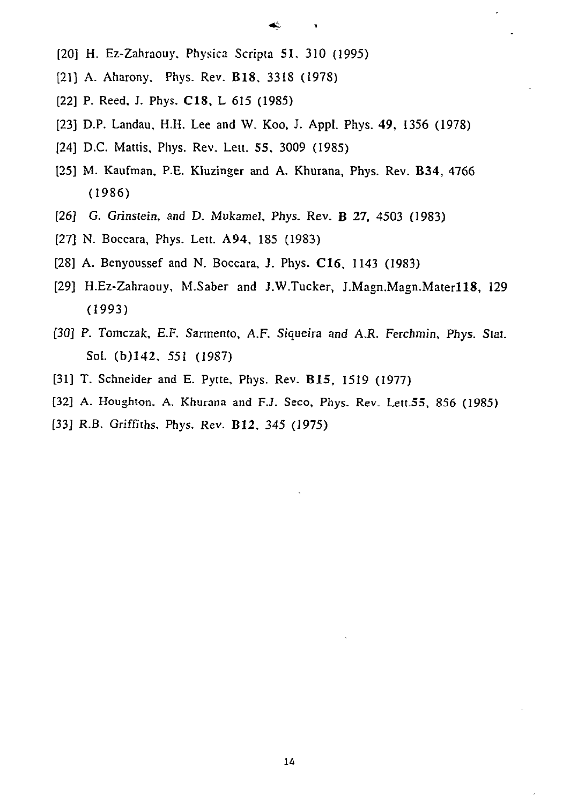- [20] H. Ez-Zahraouy. Physica Scripta **51.** 310 (1995)
- [21] A. Aharony. Phys. Rev. **B18.** 3318 (1978)
- [22] P. Reed, J. Phys. **CIS,** L 615 (1985)
- [23] D.P. Landau, H.H. Lee and W. Koo, J. Appl. Phys. 49, 1356 (1978)
- [24] D.C. Mattis, Phys. Rev. Lett. 55, 3009 (1985)
- [25] M. Kaufman, P.E. Kluzinger and A. Khurana, Phys. Rev. **B34,** 4766 (1986)
- [26] G. Grinstein, and D. Mukamel, Phys. Rev. B 27, 4503 (1983)
- [27] N. Boccara, Phys. Lett. A94, 185 (1983)
- [28] A. Benyoussef and N. Boccara, J. Phys. **C16,** 1143 (1983)
- [29] H.Ez-Zahraouy, M.Saber and J.W.Tucker, J.Magn.Magn.Materll8, 129 (1993)
- [30] P. Tomczak, E.F. Sarmento, A.F. Siqueira and A.R. Ferchmin, Phys. **Stat.** Sol. **(b)142.** 551 (1987)
- [31] T. Schneider and E. Pytte, Phys. Rev. **B15,** 1519 (1977)
- [32] A. Houghton. A. Khurana and F.J. Seco, Phys. Rev. Lett.55, 856 (1985)
- [33] R.B. Griffiths, Phys. Rev. **B12.** 345 (1975)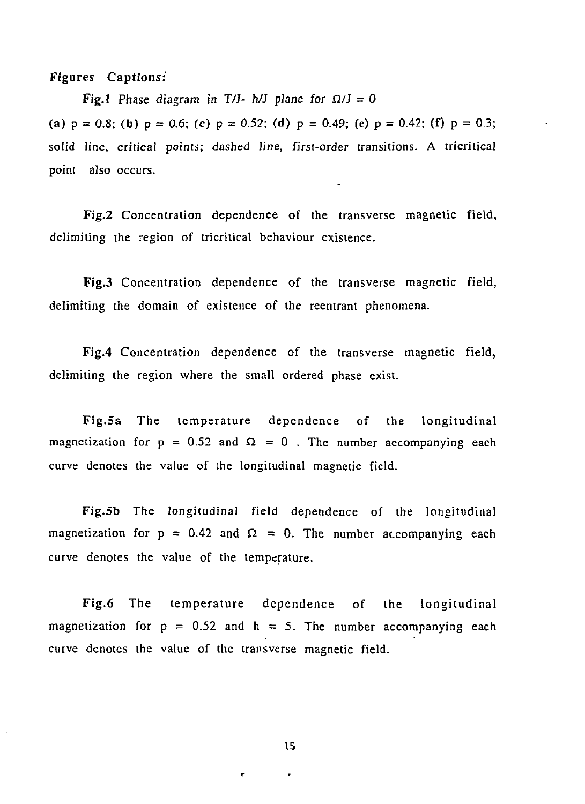Figures **Captions:**

**Fig.1** Phase diagram in T/J- h/J plane for  $\Omega / J = 0$ (a)  $p = 0.8$ ; (b)  $p = 0.6$ ; (c)  $p = 0.52$ ; (d)  $p = 0.49$ ; (e)  $p = 0.42$ ; (f)  $p = 0.3$ ; solid line, critical points; dashed line, first-order transitions. A tricritical point also occurs.

Fig.2 Concentration dependence of the transverse magnetic field, delimiting the region of tricritical behaviour existence.

**Fig.3** Concentration dependence of the transverse magnetic field, delimiting the domain of existence of the reentrant phenomena.

**Fig.4** Concentration dependence of the transverse magnetic field, delimiting the region where the small ordered phase exist.

Fig.5a The temperature dependence of the longitudinal magnetization for  $p = 0.52$  and  $\Omega = 0$ . The number accompanying each curve denotes the value of the longitudinal magnetic field.

Fig.Sb The longitudinal field dependence of the longitudinal magnetization for  $p = 0.42$  and  $\Omega = 0$ . The number accompanying each curve denotes the value of the temperature.

Fig.6 The temperature dependence of the longitudinal magnetization for  $p = 0.52$  and  $h = 5$ . The number accompanying each curve denotes the value of the transverse magnetic field.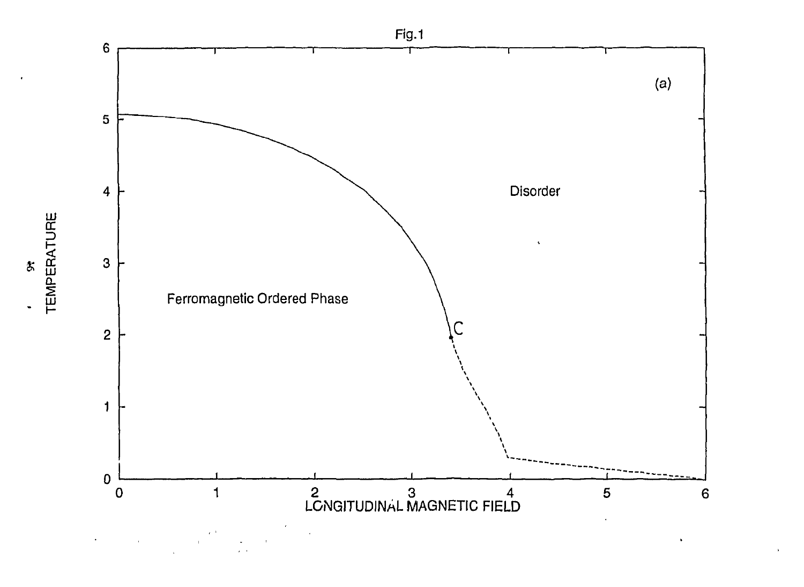

 $\mathbf{\hat{z}}$ **UJ Q. UJ**

**LU DC**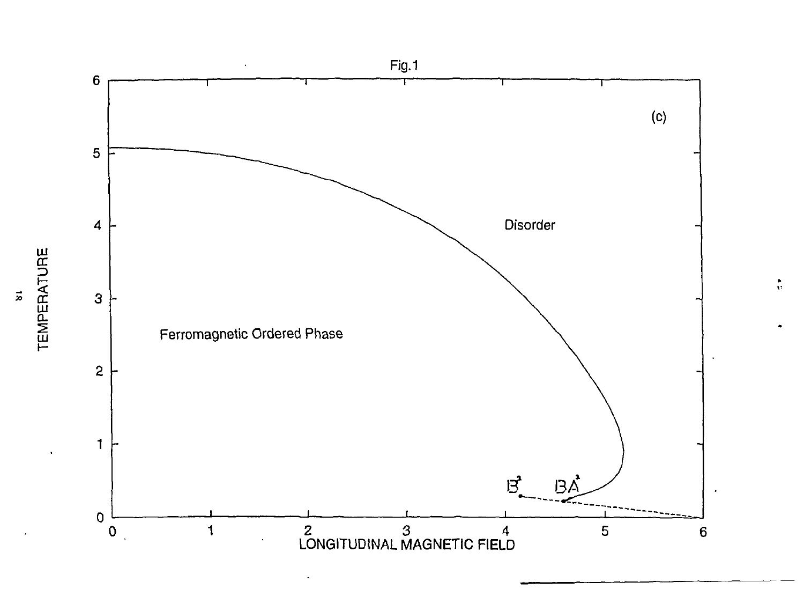

 $\vec{\mathbf{z}}$ 

 $\frac{1}{12}$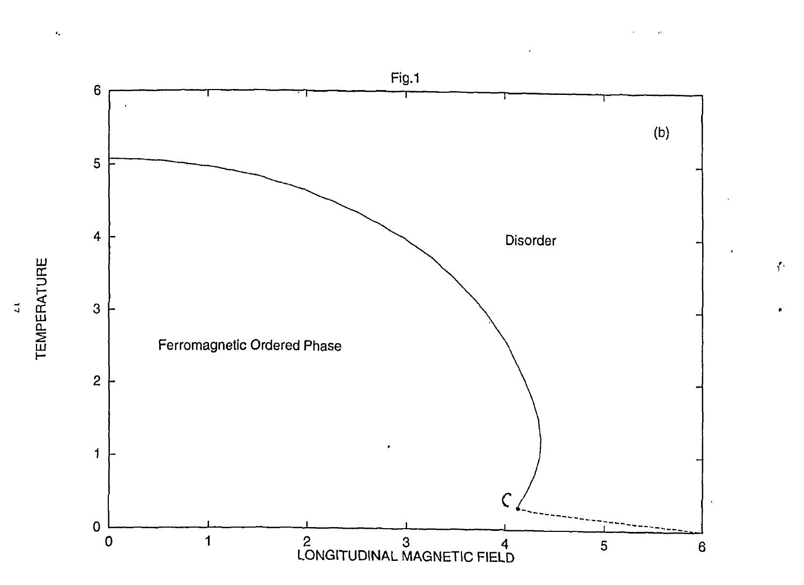

Ţ.

**TEMPERATURE**  $\overline{4}$ 

 $\epsilon_{\rm s}$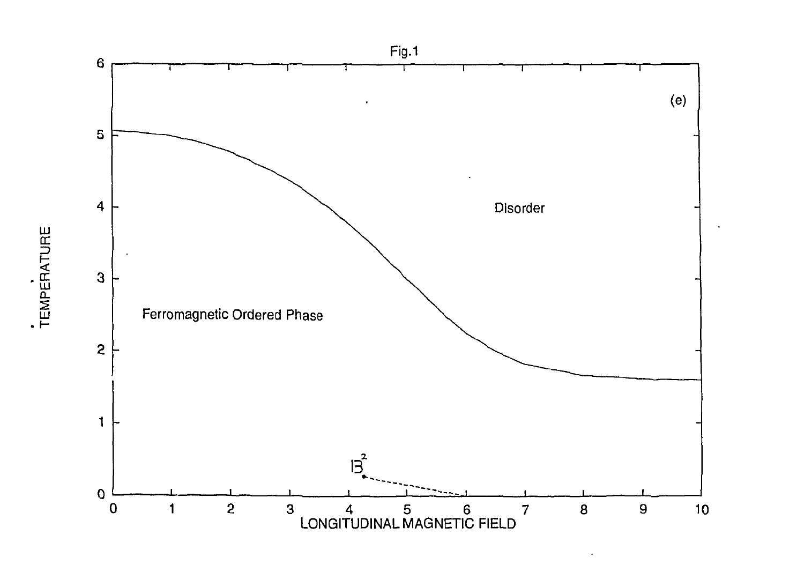

TEMPERATURE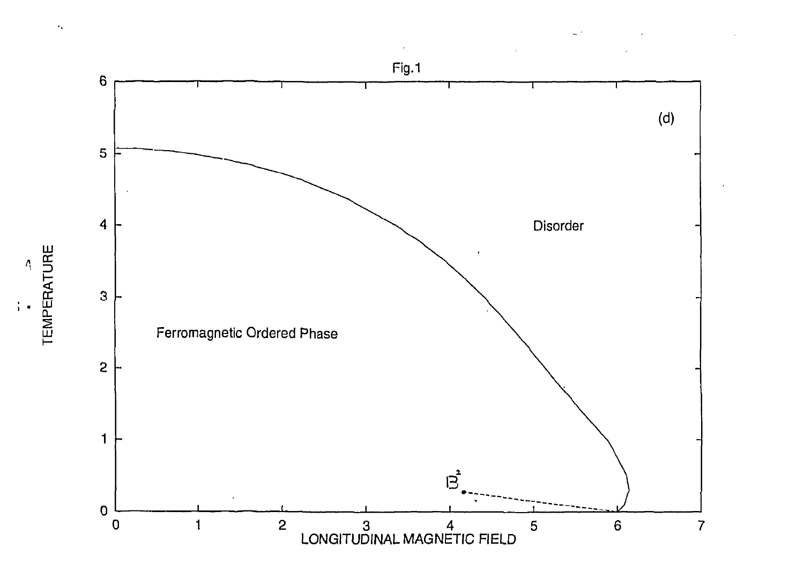

**LU**  $\vec{\gamma}$ **. LU Q-**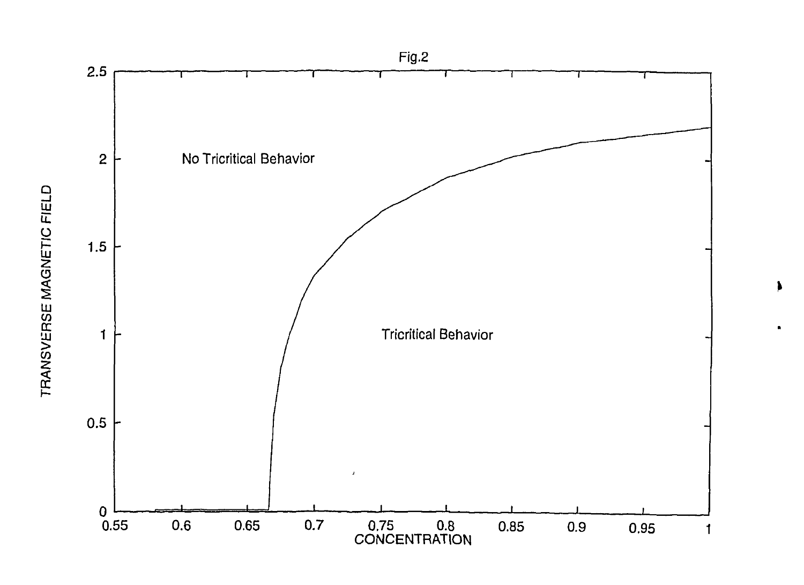

 $\mathbf{A}$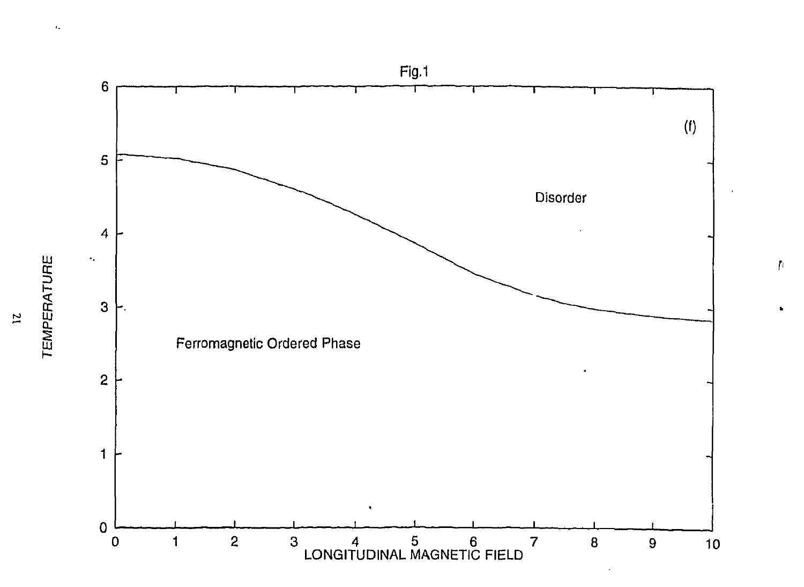

 $\mathbf{r}$ 



 $\mathbf{z}$ 

 $\epsilon_{\rm s}$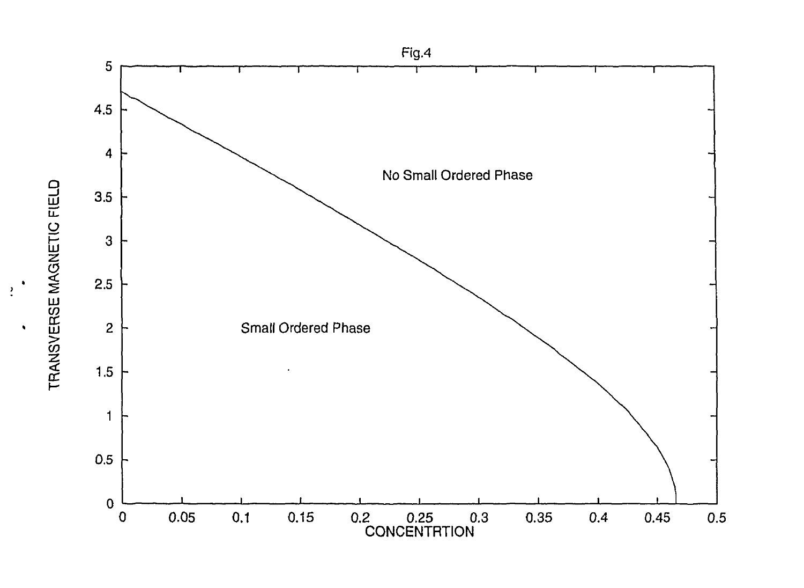

*a.* **O JE MAGNE U CO**

 $\,$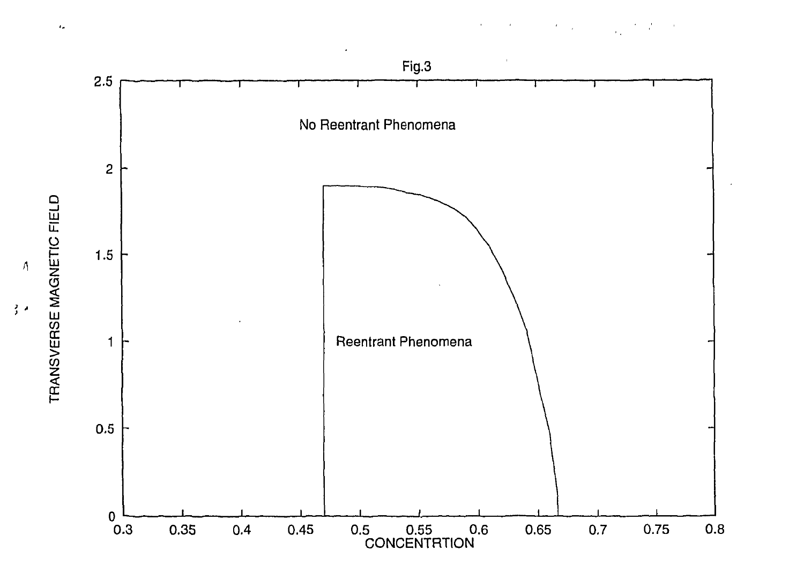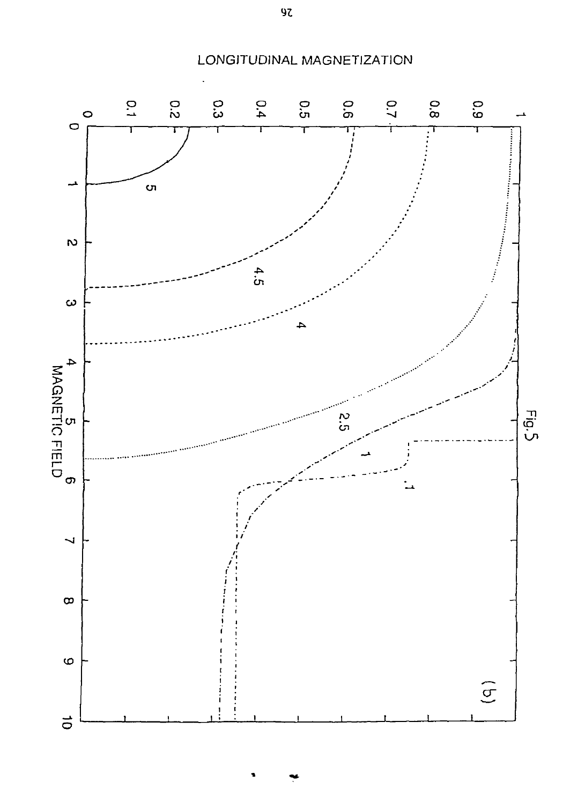$0.8$  $\overline{\mathbf{C}}$  .  $\overline{c}$ ဥ  $0.4$  $0.5$  $0.6\,$  $\overline{C}$  $0.9$  $\circ$  $\circ$ د  $\sigma$  $\overline{c}$  $4.5$  $\boldsymbol{\omega}$ 4 4<br>MAGNETIC FIELD<br>B Fig. S ς<br>Ω  $\overline{\phantom{0}}$  $\infty$  $\circ$  $\widehat{\mathfrak{S}}$  $\vec{o}$ 

97

LONGITUDINAL MAGNETIZATION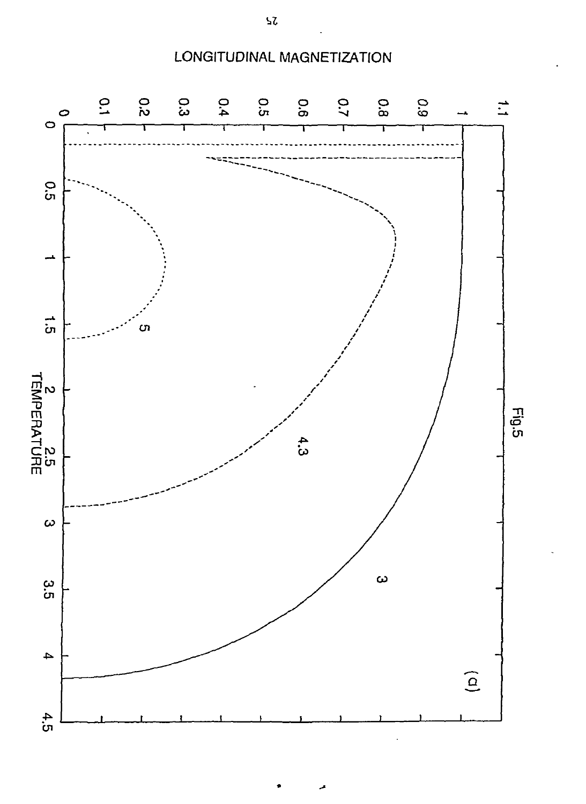$\tilde{c}$  $\frac{0}{2}$ င္ပ<br>မ 0.4 o.s  $0.6$  $0.8$  $0.9\,$  $0.7$  $\ddot{=}$  $\circ$  $\overline{a}$  $\circ$ o.s  $\rightarrow$  $\ddot{5}$ Ö 2<br>TEMPERATURE  $E19.5$  $4.3$  $\boldsymbol{\omega}$  $\omega$ ပ္ပံ  $\overline{\phantom{a}}$  $\widehat{\mathbf{e}}$  $4.5$ 

SZ.

LONGITUDINAL MAGNETIZATION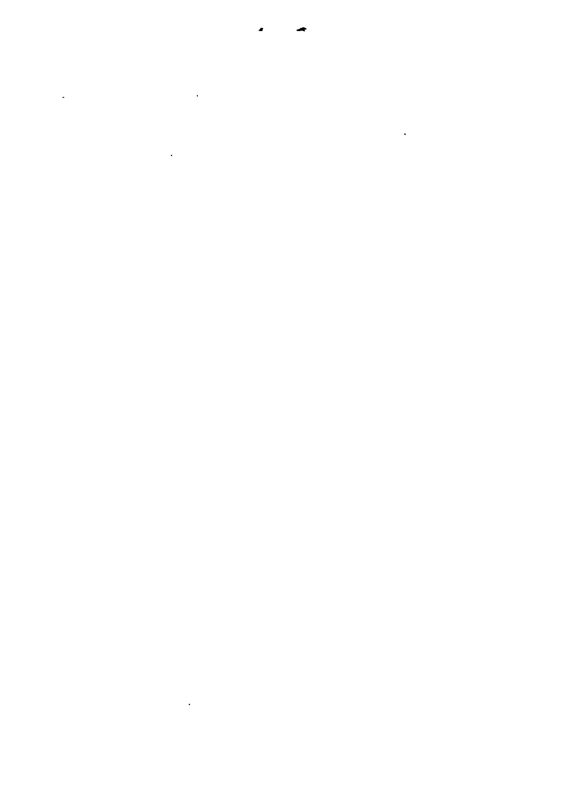$\mathcal{O}(\mathcal{A}^{\mathcal{A}})$  and  $\mathcal{O}(\mathcal{A}^{\mathcal{A}})$  and  $\mathcal{O}(\mathcal{A}^{\mathcal{A}})$  and  $\mathcal{O}(\mathcal{A}^{\mathcal{A}})$  $\mathcal{L}(\mathcal{L}^{\mathcal{L}})$  and  $\mathcal{L}^{\mathcal{L}}$  . The contribution of  $\mathcal{L}^{\mathcal{L}}$  $\label{eq:2.1} \frac{1}{\sqrt{2\pi}}\int_{\mathbb{R}^3}\frac{1}{\sqrt{2\pi}}\left(\frac{1}{\sqrt{2\pi}}\right)^2\frac{1}{\sqrt{2\pi}}\int_{\mathbb{R}^3}\frac{1}{\sqrt{2\pi}}\frac{1}{\sqrt{2\pi}}\frac{1}{\sqrt{2\pi}}\frac{1}{\sqrt{2\pi}}\frac{1}{\sqrt{2\pi}}\frac{1}{\sqrt{2\pi}}\frac{1}{\sqrt{2\pi}}\frac{1}{\sqrt{2\pi}}\frac{1}{\sqrt{2\pi}}\frac{1}{\sqrt{2\pi}}\frac{1}{\sqrt{2\pi}}\frac{$  $\label{eq:2.1} \mathcal{L}(\mathcal{L}^{\text{max}}_{\mathcal{L}}(\mathcal{L}^{\text{max}}_{\mathcal{L}})) \leq \mathcal{L}(\mathcal{L}^{\text{max}}_{\mathcal{L}}(\mathcal{L}^{\text{max}}_{\mathcal{L}}))$